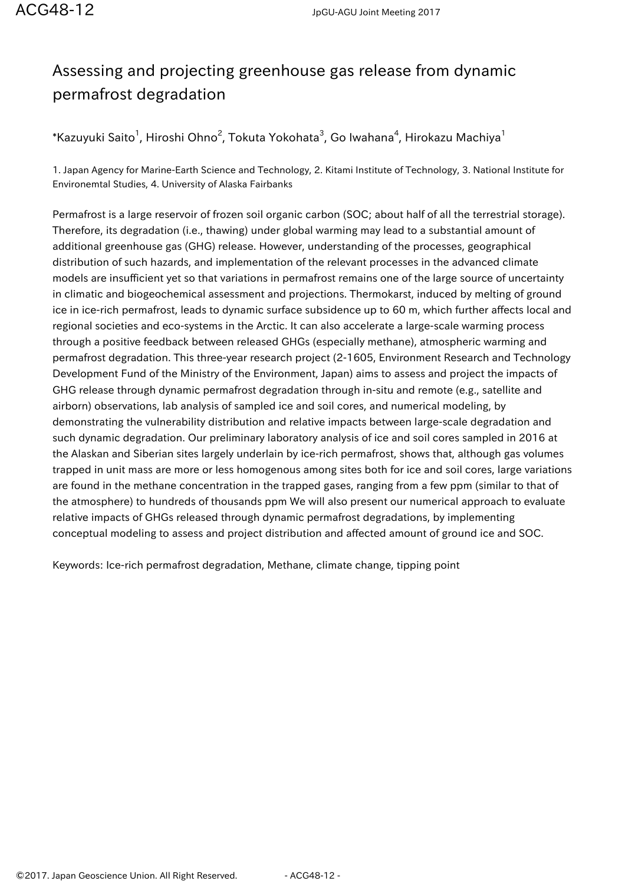## Assessing and projecting greenhouse gas release from dynamic permafrost degradation

 $^*$ Kazuyuki Saito $^1$ , Hiroshi Ohno $^2$ , Tokuta Yokohata $^3$ , Go Iwahana $^4$ , Hirokazu Machiya $^1$ 

1. Japan Agency for Marine-Earth Science and Technology, 2. Kitami Institute of Technology, 3. National Institute for Environemtal Studies, 4. University of Alaska Fairbanks

Permafrost is a large reservoir of frozen soil organic carbon (SOC; about half of all the terrestrial storage). Therefore, its degradation (i.e., thawing) under global warming may lead to a substantial amount of additional greenhouse gas (GHG) release. However, understanding of the processes, geographical distribution of such hazards, and implementation of the relevant processes in the advanced climate models are insufficient yet so that variations in permafrost remains one of the large source of uncertainty in climatic and biogeochemical assessment and projections. Thermokarst, induced by melting of ground ice in ice-rich permafrost, leads to dynamic surface subsidence up to 60 m, which further affects local and regional societies and eco-systems in the Arctic. It can also accelerate a large-scale warming process through a positive feedback between released GHGs (especially methane), atmospheric warming and permafrost degradation. This three-year research project (2-1605, Environment Research and Technology Development Fund of the Ministry of the Environment, Japan) aims to assess and project the impacts of GHG release through dynamic permafrost degradation through in-situ and remote (e.g., satellite and airborn) observations, lab analysis of sampled ice and soil cores, and numerical modeling, by demonstrating the vulnerability distribution and relative impacts between large-scale degradation and such dynamic degradation. Our preliminary laboratory analysis of ice and soil cores sampled in 2016 at the Alaskan and Siberian sites largely underlain by ice-rich permafrost, shows that, although gas volumes trapped in unit mass are more or less homogenous among sites both for ice and soil cores, large variations are found in the methane concentration in the trapped gases, ranging from a few ppm (similar to that of the atmosphere) to hundreds of thousands ppm We will also present our numerical approach to evaluate relative impacts of GHGs released through dynamic permafrost degradations, by implementing conceptual modeling to assess and project distribution and affected amount of ground ice and SOC.

Keywords: Ice-rich permafrost degradation, Methane, climate change, tipping point